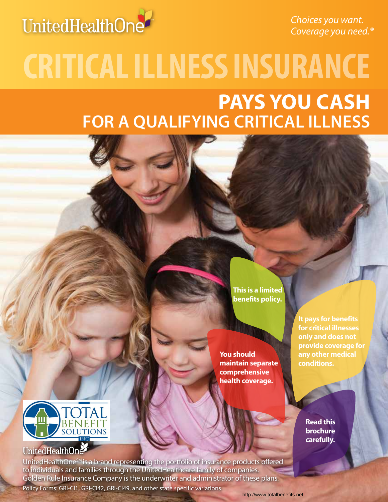

*Choices you want. Coverage you need.®*

# **Critical Illness Insurance pays you cash for a qualifying Critical Illness**

**This is a limited benefits policy.**

**You should maintain separate comprehensive health coverage.** 

**It pays for benefits for critical illnesses only and does not provide coverage for any other medical conditions.** 

> **Read this brochure carefully.**



# UnitedHealthOne2

UnitedHealthOne<sup>sM</sup> is a brand representing the portfolio of insurance products offered to individuals and families through the UnitedHealthcare family of companies. Golden Rule Insurance Company is the underwriter and administrator of these plans.

Policy Forms: GRI-CI1, GRI-CI42, GRI-CI49, and other state specific variations

http://www.totalbenefits.net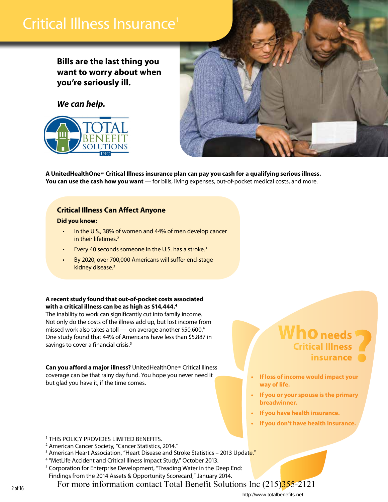# Critical Illness Insurance<sup>1</sup>

**Bills are the last thing you want to worry about when you're seriously ill.**

*We can help.*





A UnitedHealthOne<sup>sM</sup> Critical Illness insurance plan can pay you cash for a qualifying serious illness. **You can use the cash how you want** — for bills, living expenses, out-of-pocket medical costs, and more.

#### **Critical Illness Can Affect Anyone**

#### **Did you know:**

- In the U.S., 38% of women and 44% of men develop cancer in their lifetimes.<sup>2</sup>
- Every 40 seconds someone in the U.S. has a stroke.<sup>3</sup>
- By 2020, over 700,000 Americans will suffer end-stage kidney disease.<sup>3</sup>

#### **A recent study found that out-of-pocket costs associated with a critical illness can be as high as \$14,444.4**

The inability to work can significantly cut into family income. Not only do the costs of the illness add up, but lost income from missed work also takes a toll — on average another \$50,600.<sup>4</sup> One study found that 44% of Americans have less than \$5,887 in savings to cover a financial crisis.<sup>5</sup>

**Can you afford a major illness?** UnitedHealthOne<sup>sM</sup> Critical Illness coverage can be that rainy day fund. You hope you never need it but glad you have it, if the time comes.

# **? Who needs Critical Illness insurance**

- **• If loss of income would impact your way of life.**
- **• If you or your spouse is the primary breadwinner.**
- **• If you have health insurance.**
- **• If you don't have health insurance.**

- 1 This policy provides limited benefits.
- 2 American Cancer Society, "Cancer Statistics, 2014."
- <sup>3</sup> American Heart Association, "Heart Disease and Stroke Statistics 2013 Update."
- <sup>4</sup> "MetLife Accident and Critical Illness Impact Study," October 2013.<br><sup>5</sup> Corporation for Enterprise Development, "Treading Water in the Deep End:
- Findings from the 2014 Assets & Opportunity Scorecard," January 2014.

For more information contact Total Benefit Solutions Inc (215)355-2121<br>http://www.totalbenefits.net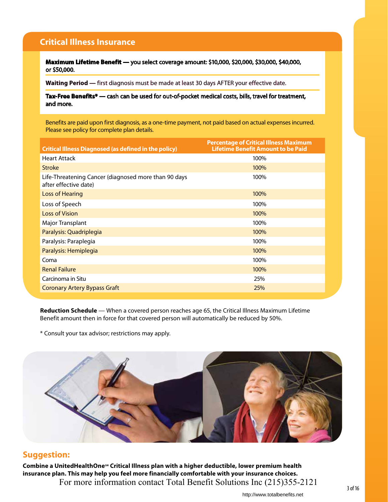# **Critical Illness Insurance**

**Maximum Lifetime Benefit —** you select coverage amount: \$10,000, \$20,000, \$30,000, \$40,000, or \$50,000.

**Waiting Period —** first diagnosis must be made at least 30 days AFTER your effective date.

**Tax-Free Benefits\* —** cash can be used for out-of-pocket medical costs, bills, travel for treatment, and more.

Benefits are paid upon first diagnosis, as a one-time payment, not paid based on actual expenses incurred. Please see policy for complete plan details.

| <b>Critical Illness Diagnosed (as defined in the policy)</b>                  | <b>Percentage of Critical Illness Maximum</b><br><b>Lifetime Benefit Amount to be Paid</b> |
|-------------------------------------------------------------------------------|--------------------------------------------------------------------------------------------|
| <b>Heart Attack</b>                                                           | 100%                                                                                       |
| Stroke                                                                        | 100%                                                                                       |
| Life-Threatening Cancer (diagnosed more than 90 days<br>after effective date) | 100%                                                                                       |
| <b>Loss of Hearing</b>                                                        | 100%                                                                                       |
| Loss of Speech                                                                | 100%                                                                                       |
| <b>Loss of Vision</b>                                                         | 100%                                                                                       |
| Major Transplant                                                              | 100%                                                                                       |
| Paralysis: Quadriplegia                                                       | 100%                                                                                       |
| Paralysis: Paraplegia                                                         | 100%                                                                                       |
| Paralysis: Hemiplegia                                                         | 100%                                                                                       |
| Coma                                                                          | 100%                                                                                       |
| <b>Renal Failure</b>                                                          | 100%                                                                                       |
| Carcinoma in Situ                                                             | 25%                                                                                        |
| <b>Coronary Artery Bypass Graft</b>                                           | 25%                                                                                        |

**Reduction Schedule** — When a covered person reaches age 65, the Critical Illness Maximum Lifetime Benefit amount then in force for that covered person will automatically be reduced by 50%.

\* Consult your tax advisor; restrictions may apply.



# **Suggestion:**

**Combine a UnitedHealthOne<sup>5M</sup> Critical Illness plan with a higher deductible, lower premium health insurance plan. This may help you feel more financially comfortable with your insurance choices.** For more information contact Total Benefit Solutions Inc (215)355-2121<br>http://www.totalbenefits.net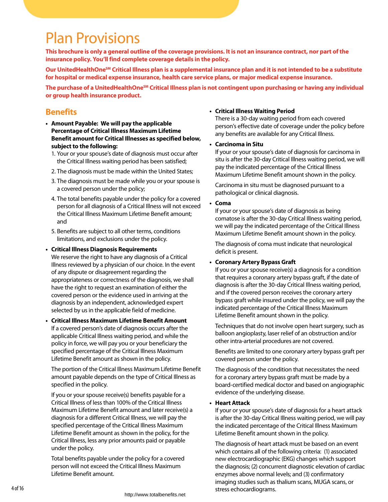# Plan Provisions

**This brochure is only a general outline of the coverage provisions. It is not an insurance contract, nor part of the insurance policy. You'll find complete coverage details in the policy.**

**Our UnitedHealthOneSM Critical Illness plan is a supplemental insurance plan and it is not intended to be a substitute for hospital or medical expense insurance, health care service plans, or major medical expense insurance.**

The purchase of a UnitedHealthOne<sup>sM</sup> Critical Illness plan is not contingent upon purchasing or having any individual **or group health insurance product.** 

### **Benefits**

- **Amount Payable: We will pay the applicable Percentage of Critical Illness Maximum Lifetime Benefit amount for Critical Illnesses as specified below, subject to the following:**
	- 1. Your or your spouse's date of diagnosis must occur after the Critical Illness waiting period has been satisfied;
	- 2. The diagnosis must be made within the United States;
	- 3. The diagnosis must be made while you or your spouse is a covered person under the policy;
	- 4. The total benefits payable under the policy for a covered person for all diagnosis of a Critical Illness will not exceed the Critical Illness Maximum Lifetime Benefit amount; and
	- 5. Benefits are subject to all other terms, conditions limitations, and exclusions under the policy.
- **Critical Illness Diagnosis Requirements** We reserve the right to have any diagnosis of a Critical Illness reviewed by a physician of our choice. In the event of any dispute or disagreement regarding the appropriateness or correctness of the diagnosis, we shall have the right to request an examination of either the covered person or the evidence used in arriving at the diagnosis by an independent, acknowledged expert selected by us in the applicable field of medicine.
- **Critical Illness Maximum Lifetime Benefit Amount** If a covered person's date of diagnosis occurs after the applicable Critical Illness waiting period, and while the policy in force, we will pay you or your beneficiary the specified percentage of the Critical Illness Maximum Lifetime Benefit amount as shown in the policy.

The portion of the Critical Illness Maximum Lifetime Benefit amount payable depends on the type of Critical Illness as specified in the policy.

If you or your spouse receive(s) benefits payable for a Critical Illness of less than 100% of the Critical Illness Maximum Lifetime Benefit amount and later receive(s) a diagnosis for a different Critical Illness, we will pay the specified percentage of the Critical Illness Maximum Lifetime Benefit amount as shown in the policy, for the Critical Illness, less any prior amounts paid or payable under the policy.

Total benefits payable under the policy for a covered person will not exceed the Critical Illness Maximum Lifetime Benefit amount.

#### **• Critical Illness Waiting Period**

There is a 30-day waiting period from each covered person's effective date of coverage under the policy before any benefits are available for any Critical Illness.

#### **• Carcinoma in Situ**

If your or your spouse's date of diagnosis for carcinoma in situ is after the 30-day Critical Illness waiting period, we will pay the indicated percentage of the Critical Illness Maximum Lifetime Benefit amount shown in the policy.

Carcinoma in situ must be diagnosed pursuant to a pathological or clinical diagnosis.

#### **• Coma**

If your or your spouse's date of diagnosis as being comatose is after the 30-day Critical Illness waiting period, we will pay the indicated percentage of the Critical Illness Maximum Lifetime Benefit amount shown in the policy.

The diagnosis of coma must indicate that neurological deficit is present.

#### **• Coronary Artery Bypass Graft**

If you or your spouse receive(s) a diagnosis for a condition that requires a coronary artery bypass graft, if the date of diagnosis is after the 30-day Critical Illness waiting period, and if the covered person receives the coronary artery bypass graft while insured under the policy, we will pay the indicated percentage of the Critical Illness Maximum Lifetime Benefit amount shown in the policy.

Techniques that do not involve open heart surgery, such as balloon angioplasty, laser relief of an obstruction and/or other intra-arterial procedures are not covered.

 Benefits are limited to one coronary artery bypass graft per covered person under the policy.

The diagnosis of the condition that necessitates the need for a coronary artery bypass graft must be made by a board-certified medical doctor and based on angiographic evidence of the underlying disease.

#### **• Heart Attack**

If your or your spouse's date of diagnosis for a heart attack is after the 30-day Critical Illness waiting period, we will pay the indicated percentage of the Critical Illness Maximum Lifetime Benefit amount shown in the policy.

The diagnosis of heart attack must be based on an event which contains all of the following criteria: (1) associated new electrocardiographic (EKG) changes which support the diagnosis; (2) concurrent diagnostic elevation of cardiac enzymes above normal levels; and (3) confirmatory imaging studies such as thalium scans, MUGA scans, or stress echocardiograms.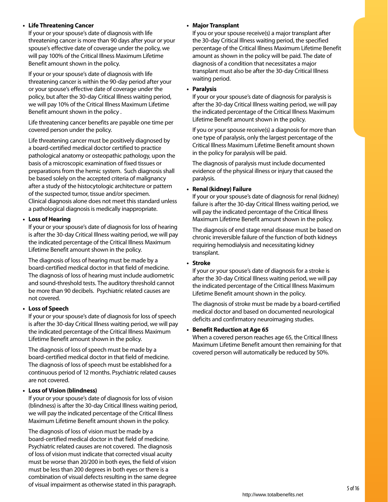#### **• Life Threatening Cancer**

If your or your spouse's date of diagnosis with life threatening cancer is more than 90 days after your or your spouse's effective date of coverage under the policy, we will pay 100% of the Critical Illness Maximum Lifetime Benefit amount shown in the policy.

If your or your spouse's date of diagnosis with life threatening cancer is within the 90-day period after your or your spouse's effective date of coverage under the policy, but after the 30-day Critical Illness waiting period, we will pay 10% of the Critical Illness Maximum Lifetime Benefit amount shown in the policy .

 Life threatening cancer benefits are payable one time per covered person under the policy.

 Life threatening cancer must be positively diagnosed by a board-certified medical doctor certified to practice pathological anatomy or osteopathic pathology, upon the basis of a microscopic examination of fixed tissues or preparations from the hemic system. Such diagnosis shall be based solely on the accepted criteria of malignancy after a study of the histocytologic architecture or pattern of the suspected tumor, tissue and/or specimen. Clinical diagnosis alone does not meet this standard unless a pathological diagnosis is medically inappropriate.

#### **• Loss of Hearing**

If your or your spouse's date of diagnosis for loss of hearing is after the 30-day Critical Illness waiting period, we will pay the indicated percentage of the Critical Illness Maximum Lifetime Benefit amount shown in the policy.

The diagnosis of loss of hearing must be made by a board-certified medical doctor in that field of medicine. The diagnosis of loss of hearing must include audiometric and sound-threshold tests. The auditory threshold cannot be more than 90 decibels. Psychiatric related causes are not covered.

#### **• Loss of Speech**

If your or your spouse's date of diagnosis for loss of speech is after the 30-day Critical Illness waiting period, we will pay the indicated percentage of the Critical Illness Maximum Lifetime Benefit amount shown in the policy.

The diagnosis of loss of speech must be made by a board-certified medical doctor in that field of medicine. The diagnosis of loss of speech must be established for a continuous period of 12 months. Psychiatric related causes are not covered.

#### **• Loss of Vision (blindness)**

If your or your spouse's date of diagnosis for loss of vision (blindness) is after the 30-day Critical Illness waiting period, we will pay the indicated percentage of the Critical Illness Maximum Lifetime Benefit amount shown in the policy.

The diagnosis of loss of vision must be made by a board-certified medical doctor in that field of medicine. Psychiatric related causes are not covered. The diagnosis of loss of vision must indicate that corrected visual acuity must be worse than 20/200 in both eyes, the field of vision must be less than 200 degrees in both eyes or there is a combination of visual defects resulting in the same degree of visual impairment as otherwise stated in this paragraph.

#### **• Major Transplant**

If you or your spouse receive(s) a major transplant after the 30-day Critical Illness waiting period, the specified percentage of the Critical Illness Maximum Lifetime Benefit amount as shown in the policy will be paid. The date of diagnosis of a condition that necessitates a major transplant must also be after the 30-day Critical Illness waiting period.

#### **• Paralysis**

If your or your spouse's date of diagnosis for paralysis is after the 30-day Critical Illness waiting period, we will pay the indicated percentage of the Critical Illness Maximum Lifetime Benefit amount shown in the policy.

If you or your spouse receive(s) a diagnosis for more than one type of paralysis, only the largest percentage of the Critical Illness Maximum Lifetime Benefit amount shown in the policy for paralysis will be paid.

The diagnosis of paralysis must include documented evidence of the physical illness or injury that caused the paralysis.

#### **• Renal (kidney) Failure**

If your or your spouse's date of diagnosis for renal (kidney) failure is after the 30-day Critical Illness waiting period, we will pay the indicated percentage of the Critical Illness Maximum Lifetime Benefit amount shown in the policy.

The diagnosis of end stage renal disease must be based on chronic irreversible failure of the function of both kidneys requiring hemodialysis and necessitating kidney transplant.

#### **• Stroke**

If your or your spouse's date of diagnosis for a stroke is after the 30-day Critical Illness waiting period, we will pay the indicated percentage of the Critical Illness Maximum Lifetime Benefit amount shown in the policy.

The diagnosis of stroke must be made by a board-certified medical doctor and based on documented neurological deficits and confirmatory neuroimaging studies.

#### **• Benefit Reduction at Age 65**

When a covered person reaches age 65, the Critical Illness Maximum Lifetime Benefit amount then remaining for that covered person will automatically be reduced by 50%.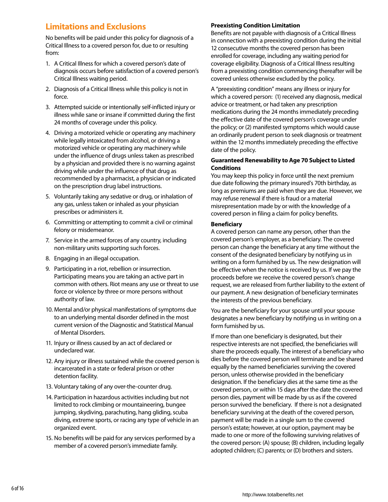# **Limitations and Exclusions**

No benefits will be paid under this policy for diagnosis of a Critical Illness to a covered person for, due to or resulting from:

- 1. A Critical Illness for which a covered person's date of diagnosis occurs before satisfaction of a covered person's Critical Illness waiting period.
- 2. Diagnosis of a Critical Illness while this policy is not in force.
- 3. Attempted suicide or intentionally self-inflicted injury or illness while sane or insane if committed during the first 24 months of coverage under this policy.
- 4. Driving a motorized vehicle or operating any machinery while legally intoxicated from alcohol, or driving a motorized vehicle or operating any machinery while under the influence of drugs unless taken as prescribed by a physician and provided there is no warning against driving while under the influence of that drug as recommended by a pharmacist, a physician or indicated on the prescription drug label instructions.
- 5. Voluntarily taking any sedative or drug, or inhalation of any gas, unless taken or inhaled as your physician prescribes or administers it.
- 6. Committing or attempting to commit a civil or criminal felony or misdemeanor.
- 7. Service in the armed forces of any country, including non-military units supporting such forces.
- 8. Engaging in an illegal occupation.
- 9. Participating in a riot, rebellion or insurrection. Participating means you are taking an active part in common with others. Riot means any use or threat to use force or violence by three or more persons without authority of law.
- 10. Mental and/or physical manifestations of symptoms due to an underlying mental disorder defined in the most current version of the Diagnostic and Statistical Manual of Mental Disorders.
- 11. Injury or illness caused by an act of declared or undeclared war.
- 12. Any injury or illness sustained while the covered person is incarcerated in a state or federal prison or other detention facility.
- 13. Voluntary taking of any over-the-counter drug.
- 14. Participation in hazardous activities including but not limited to rock climbing or mountaineering, bungee jumping, skydiving, parachuting, hang gliding, scuba diving, extreme sports, or racing any type of vehicle in an organized event.
- 15. No benefits will be paid for any services performed by a member of a covered person's immediate family.

#### **Preexisting Condition Limitation**

Benefits are not payable with diagnosis of a Critical Illness in connection with a preexisting condition during the initial 12 consecutive months the covered person has been enrolled for coverage, including any waiting period for coverage eligibility. Diagnosis of a Critical Illness resulting from a preexisting condition commencing thereafter will be covered unless otherwise excluded by the policy.

A "preexisting condition" means any illness or injury for which a covered person: (1) received any diagnosis, medical advice or treatment, or had taken any prescription medications during the 24 months immediately preceding the effective date of the covered person's coverage under the policy; or (2) manifested symptoms which would cause an ordinarily prudent person to seek diagnosis or treatment within the 12 months immediately preceding the effective date of the policy.

#### **Guaranteed Renewability to Age 70 Subject to Listed Conditions**

You may keep this policy in force until the next premium due date following the primary insured's 70th birthday, as long as premiums are paid when they are due. However, we may refuse renewal if there is fraud or a material misrepresentation made by or with the knowledge of a covered person in filing a claim for policy benefits.

#### **Beneficiary**

A covered person can name any person, other than the covered person's employer, as a beneficiary. The covered person can change the beneficiary at any time without the consent of the designated beneficiary by notifying us in writing on a form furnished by us. The new designation will be effective when the notice is received by us. If we pay the proceeds before we receive the covered person's change request, we are released from further liability to the extent of our payment. A new designation of beneficiary terminates the interests of the previous beneficiary.

You are the beneficiary for your spouse until your spouse designates a new beneficiary by notifying us in writing on a form furnished by us.

If more than one beneficiary is designated, but their respective interests are not specified, the beneficiaries will share the proceeds equally. The interest of a beneficiary who dies before the covered person will terminate and be shared equally by the named beneficiaries surviving the covered person, unless otherwise provided in the beneficiary designation. If the beneficiary dies at the same time as the covered person, or within 15 days after the date the covered person dies, payment will be made by us as if the covered person survived the beneficiary. If there is not a designated beneficiary surviving at the death of the covered person, payment will be made in a single sum to the covered person's estate; however, at our option, payment may be made to one or more of the following surviving relatives of the covered person: (A) spouse; (B) children, including legally adopted children; (C) parents; or (D) brothers and sisters.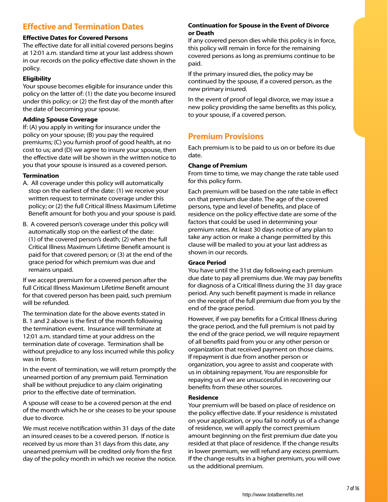# **Effective and Termination Dates**

#### **Effective Dates for Covered Persons**

The effective date for all initial covered persons begins at 12:01 a.m. standard time at your last address shown in our records on the policy effective date shown in the policy.

#### **Eligibility**

Your spouse becomes eligible for insurance under this policy on the latter of: (1) the date you become insured under this policy; or (2) the first day of the month after the date of becoming your spouse.

#### **Adding Spouse Coverage**

If: (A) you apply in writing for insurance under the policy on your spouse; (B) you pay the required premiums; (C) you furnish proof of good health, at no cost to us; and (D) we agree to insure your spouse, then the effective date will be shown in the written notice to you that your spouse is insured as a covered person.

#### **Termination**

- A. All coverage under this policy will automatically stop on the earliest of the date: (1) we receive your written request to terminate coverage under this policy; or (2) the full Critical Illness Maximum Lifetime Benefit amount for both you and your spouse is paid.
- B. A covered person's coverage under this policy will automatically stop on the earliest of the date: (1) of the covered person's death; (2) when the full Critical Illness Maximum Lifetime Benefit amount is paid for that covered person; or (3) at the end of the grace period for which premium was due and remains unpaid.

If we accept premium for a covered person after the full Critical Illness Maximum Lifetime Benefit amount for that covered person has been paid, such premium will be refunded.

The termination date for the above events stated in B. 1 and 2 above is the first of the month following the termination event. Insurance will terminate at 12:01 a.m. standard time at your address on the termination date of coverage. Termination shall be without prejudice to any loss incurred while this policy was in force.

In the event of termination, we will return promptly the unearned portion of any premium paid. Termination shall be without prejudice to any claim originating prior to the effective date of termination.

A spouse will cease to be a covered person at the end of the month which he or she ceases to be your spouse due to divorce.

We must receive notification within 31 days of the date an insured ceases to be a covered person. If notice is received by us more than 31 days from this date, any unearned premium will be credited only from the first day of the policy month in which we receive the notice.

#### **Continuation for Spouse in the Event of Divorce or Death**

If any covered person dies while this policy is in force, this policy will remain in force for the remaining covered persons as long as premiums continue to be paid.

If the primary insured dies, the policy may be continued by the spouse, if a covered person, as the new primary insured.

In the event of proof of legal divorce, we may issue a new policy providing the same benefits as this policy, to your spouse, if a covered person.

# **Premium Provisions**

Each premium is to be paid to us on or before its due date.

#### **Change of Premium**

From time to time, we may change the rate table used for this policy form.

Each premium will be based on the rate table in effect on that premium due date. The age of the covered persons, type and level of benefits, and place of residence on the policy effective date are some of the factors that could be used in determining your premium rates. At least 30 days notice of any plan to take any action or make a change permitted by this clause will be mailed to you at your last address as shown in our records.

#### **Grace Period**

You have until the 31st day following each premium due date to pay all premiums due. We may pay benefits for diagnosis of a Critical Illness during the 31 day grace period. Any such benefit payment is made in reliance on the receipt of the full premium due from you by the end of the grace period.

However, if we pay benefits for a Critical Illness during the grace period, and the full premium is not paid by the end of the grace period, we will require repayment of all benefits paid from you or any other person or organization that received payment on those claims. If repayment is due from another person or organization, you agree to assist and cooperate with us in obtaining repayment. You are responsible for repaying us if we are unsuccessful in recovering our benefits from these other sources.

#### **Residence**

Your premium will be based on place of residence on the policy effective date. If your residence is misstated on your application, or you fail to notify us of a change of residence, we will apply the correct premium amount beginning on the first premium due date you resided at that place of residence. If the change results in lower premium, we will refund any excess premium. If the change results in a higher premium, you will owe us the additional premium.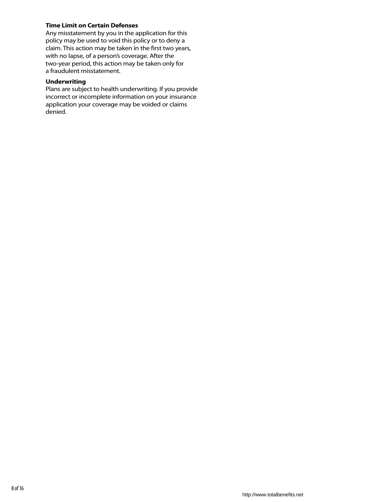#### **Time Limit on Certain Defenses**

Any misstatement by you in the application for this policy may be used to void this policy or to deny a claim. This action may be taken in the first two years, with no lapse, of a person's coverage. After the two-year period, this action may be taken only for a fraudulent misstatement.

#### **Underwriting**

Plans are subject to health underwriting. If you provide incorrect or incomplete information on your insurance application your coverage may be voided or claims denied.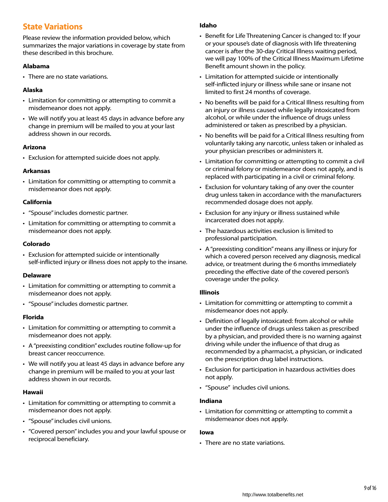# **State Variations**

Please review the information provided below, which summarizes the major variations in coverage by state from these described in this brochure.

#### **Alabama**

• There are no state variations.

#### **Alaska**

- Limitation for committing or attempting to commit a misdemeanor does not apply.
- We will notify you at least 45 days in advance before any change in premium will be mailed to you at your last address shown in our records.

#### **Arizona**

• Exclusion for attempted suicide does not apply.

#### **Arkansas**

• Limitation for committing or attempting to commit a misdemeanor does not apply.

#### **California**

- "Spouse" includes domestic partner.
- Limitation for committing or attempting to commit a misdemeanor does not apply.

#### **Colorado**

• Exclusion for attempted suicide or intentionally self-inflicted injury or illness does not apply to the insane.

#### **Delaware**

- Limitation for committing or attempting to commit a misdemeanor does not apply.
- "Spouse" includes domestic partner.

#### **Florida**

- Limitation for committing or attempting to commit a misdemeanor does not apply.
- A "preexisting condition" excludes routine follow-up for breast cancer reoccurrence.
- We will notify you at least 45 days in advance before any change in premium will be mailed to you at your last address shown in our records.

#### **Hawaii**

- Limitation for committing or attempting to commit a misdemeanor does not apply.
- "Spouse" includes civil unions.
- "Covered person" includes you and your lawful spouse or reciprocal beneficiary.

#### **Idaho**

- Benefit for Life Threatening Cancer is changed to: If your or your spouse's date of diagnosis with life threatening cancer is after the 30-day Critical Illness waiting period, we will pay 100% of the Critical Illness Maximum Lifetime Benefit amount shown in the policy.
- Limitation for attempted suicide or intentionally self-inflicted injury or illness while sane or insane not limited to first 24 months of coverage.
- No benefits will be paid for a Critical Illness resulting from an injury or illness caused while legally intoxicated from alcohol, or while under the influence of drugs unless administered or taken as prescribed by a physician.
- No benefits will be paid for a Critical Illness resulting from voluntarily taking any narcotic, unless taken or inhaled as your physician prescribes or administers it.
- Limitation for committing or attempting to commit a civil or criminal felony or misdemeanor does not apply, and is replaced with participating in a civil or criminal felony.
- Exclusion for voluntary taking of any over the counter drug unless taken in accordance with the manufacturers recommended dosage does not apply.
- Exclusion for any injury or illness sustained while incarcerated does not apply.
- The hazardous activities exclusion is limited to professional participation.
- A "preexisting condition" means any illness or injury for which a covered person received any diagnosis, medical advice, or treatment during the 6 months immediately preceding the effective date of the covered person's coverage under the policy.

#### **Illinois**

- Limitation for committing or attempting to commit a misdemeanor does not apply.
- Definition of legally intoxicated: from alcohol or while under the influence of drugs unless taken as prescribed by a physician, and provided there is no warning against driving while under the influence of that drug as recommended by a pharmacist, a physician, or indicated on the prescription drug label instructions.
- Exclusion for participation in hazardous activities does not apply.
- "Spouse" includes civil unions.

#### **Indiana**

• Limitation for committing or attempting to commit a misdemeanor does not apply.

#### **Iowa**

• There are no state variations.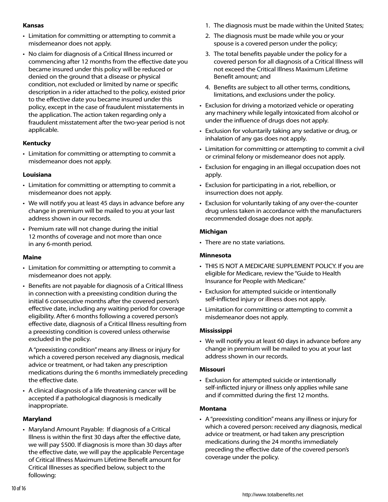#### **Kansas**

- Limitation for committing or attempting to commit a misdemeanor does not apply.
- No claim for diagnosis of a Critical Illness incurred or commencing after 12 months from the effective date you became insured under this policy will be reduced or denied on the ground that a disease or physical condition, not excluded or limited by name or specific description in a rider attached to the policy, existed prior to the effective date you became insured under this policy, except in the case of fraudulent misstatements in the application. The action taken regarding only a fraudulent misstatement after the two-year period is not applicable.

#### **Kentucky**

• Limitation for committing or attempting to commit a misdemeanor does not apply.

#### **Louisiana**

- Limitation for committing or attempting to commit a misdemeanor does not apply.
- We will notify you at least 45 days in advance before any change in premium will be mailed to you at your last address shown in our records.
- Premium rate will not change during the initial 12 months of coverage and not more than once in any 6-month period.

#### **Maine**

- Limitation for committing or attempting to commit a misdemeanor does not apply.
- Benefits are not payable for diagnosis of a Critical Illness in connection with a preexisting condition during the initial 6 consecutive months after the covered person's effective date, including any waiting period for coverage eligibility. After 6 months following a covered person's effective date, diagnosis of a Critical Illness resulting from a preexisting condition is covered unless otherwise excluded in the policy.

A "preexisting condition" means any illness or injury for which a covered person received any diagnosis, medical advice or treatment, or had taken any prescription medications during the 6 months immediately preceding the effective date.

• A clinical diagnosis of a life threatening cancer will be accepted if a pathological diagnosis is medically inappropriate.

#### **Maryland**

• Maryland Amount Payable: If diagnosis of a Critical Illness is within the first 30 days after the effective date, we will pay \$500. If diagnosis is more than 30 days after the effective date, we will pay the applicable Percentage of Critical Illness Maximum Lifetime Benefit amount for Critical Illnesses as specified below, subject to the following:

- 1. The diagnosis must be made within the United States;
- 2. The diagnosis must be made while you or your spouse is a covered person under the policy;
- 3. The total benefits payable under the policy for a covered person for all diagnosis of a Critical Illness will not exceed the Critical Illness Maximum Lifetime Benefit amount; and
- 4. Benefits are subject to all other terms, conditions, limitations, and exclusions under the policy.
- Exclusion for driving a motorized vehicle or operating any machinery while legally intoxicated from alcohol or under the influence of drugs does not apply.
- Exclusion for voluntarily taking any sedative or drug, or inhalation of any gas does not apply.
- Limitation for committing or attempting to commit a civil or criminal felony or misdemeanor does not apply.
- Exclusion for engaging in an illegal occupation does not apply.
- Exclusion for participating in a riot, rebellion, or insurrection does not apply.
- Exclusion for voluntarily taking of any over-the-counter drug unless taken in accordance with the manufacturers recommended dosage does not apply.

#### **Michigan**

• There are no state variations.

#### **Minnesota**

- THIS IS NOT A MEDICARE SUPPLEMENT POLICY. If you are eligible for Medicare, review the "Guide to Health Insurance for People with Medicare."
- Exclusion for attempted suicide or intentionally self-inflicted injury or illness does not apply.
- Limitation for committing or attempting to commit a misdemeanor does not apply.

#### **Mississippi**

• We will notify you at least 60 days in advance before any change in premium will be mailed to you at your last address shown in our records.

#### **Missouri**

• Exclusion for attempted suicide or intentionally self-inflicted injury or illness only applies while sane and if committed during the first 12 months.

#### **Montana**

• A "preexisting condition" means any illness or injury for which a covered person: received any diagnosis, medical advice or treatment, or had taken any prescription medications during the 24 months immediately preceding the effective date of the covered person's coverage under the policy.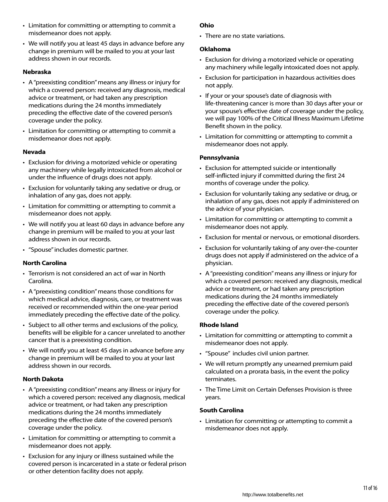- Limitation for committing or attempting to commit a misdemeanor does not apply.
- We will notify you at least 45 days in advance before any change in premium will be mailed to you at your last address shown in our records.

#### **Nebraska**

- A "preexisting condition" means any illness or injury for which a covered person: received any diagnosis, medical advice or treatment, or had taken any prescription medications during the 24 months immediately preceding the effective date of the covered person's coverage under the policy.
- Limitation for committing or attempting to commit a misdemeanor does not apply.

#### **Nevada**

- Exclusion for driving a motorized vehicle or operating any machinery while legally intoxicated from alcohol or under the influence of drugs does not apply.
- Exclusion for voluntarily taking any sedative or drug, or inhalation of any gas, does not apply.
- Limitation for committing or attempting to commit a misdemeanor does not apply.
- We will notify you at least 60 days in advance before any change in premium will be mailed to you at your last address shown in our records.
- "Spouse" includes domestic partner.

#### **North Carolina**

- Terrorism is not considered an act of war in North Carolina.
- A "preexisting condition" means those conditions for which medical advice, diagnosis, care, or treatment was received or recommended within the one-year period immediately preceding the effective date of the policy.
- Subject to all other terms and exclusions of the policy, benefits will be eligible for a cancer unrelated to another cancer that is a preexisting condition.
- We will notify you at least 45 days in advance before any change in premium will be mailed to you at your last address shown in our records.

#### **North Dakota**

- A "preexisting condition" means any illness or injury for which a covered person: received any diagnosis, medical advice or treatment, or had taken any prescription medications during the 24 months immediately preceding the effective date of the covered person's coverage under the policy.
- Limitation for committing or attempting to commit a misdemeanor does not apply.
- Exclusion for any injury or illness sustained while the covered person is incarcerated in a state or federal prison or other detention facility does not apply.

#### **Ohio**

• There are no state variations.

#### **Oklahoma**

- Exclusion for driving a motorized vehicle or operating any machinery while legally intoxicated does not apply.
- Exclusion for participation in hazardous activities does not apply.
- If your or your spouse's date of diagnosis with life-threatening cancer is more than 30 days after your or your spouse's effective date of coverage under the policy, we will pay 100% of the Critical Illness Maximum Lifetime Benefit shown in the policy.
- Limitation for committing or attempting to commit a misdemeanor does not apply.

#### **Pennsylvania**

- Exclusion for attempted suicide or intentionally self-inflicted injury if committed during the first 24 months of coverage under the policy.
- Exclusion for voluntarily taking any sedative or drug, or inhalation of any gas, does not apply if administered on the advice of your physician.
- Limitation for committing or attempting to commit a misdemeanor does not apply.
- Exclusion for mental or nervous, or emotional disorders.
- Exclusion for voluntarily taking of any over-the-counter drugs does not apply if administered on the advice of a physician.
- A "preexisting condition" means any illness or injury for which a covered person: received any diagnosis, medical advice or treatment, or had taken any prescription medications during the 24 months immediately preceding the effective date of the covered person's coverage under the policy.

#### **Rhode Island**

- Limitation for committing or attempting to commit a misdemeanor does not apply.
- "Spouse" includes civil union partner.
- We will return promptly any unearned premium paid calculated on a prorata basis, in the event the policy terminates.
- The Time Limit on Certain Defenses Provision is three years.

#### **South Carolina**

• Limitation for committing or attempting to commit a misdemeanor does not apply.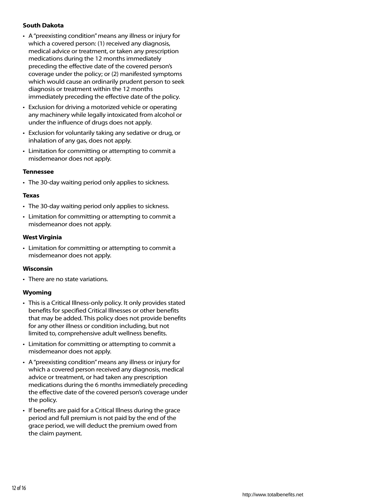#### **South Dakota**

- A "preexisting condition" means any illness or injury for which a covered person: (1) received any diagnosis, medical advice or treatment, or taken any prescription medications during the 12 months immediately preceding the effective date of the covered person's coverage under the policy; or (2) manifested symptoms which would cause an ordinarily prudent person to seek diagnosis or treatment within the 12 months immediately preceding the effective date of the policy.
- Exclusion for driving a motorized vehicle or operating any machinery while legally intoxicated from alcohol or under the influence of drugs does not apply.
- Exclusion for voluntarily taking any sedative or drug, or inhalation of any gas, does not apply.
- Limitation for committing or attempting to commit a misdemeanor does not apply.

#### **Tennessee**

• The 30-day waiting period only applies to sickness.

#### **Texas**

- The 30-day waiting period only applies to sickness.
- Limitation for committing or attempting to commit a misdemeanor does not apply.

#### **West Virginia**

• Limitation for committing or attempting to commit a misdemeanor does not apply.

#### **Wisconsin**

• There are no state variations.

#### **Wyoming**

- This is a Critical Illness-only policy. It only provides stated benefits for specified Critical Illnesses or other benefits that may be added. This policy does not provide benefits for any other illness or condition including, but not limited to, comprehensive adult wellness benefits.
- Limitation for committing or attempting to commit a misdemeanor does not apply.
- A "preexisting condition" means any illness or injury for which a covered person received any diagnosis, medical advice or treatment, or had taken any prescription medications during the 6 months immediately preceding the effective date of the covered person's coverage under the policy.
- If benefits are paid for a Critical Illness during the grace period and full premium is not paid by the end of the grace period, we will deduct the premium owed from the claim payment.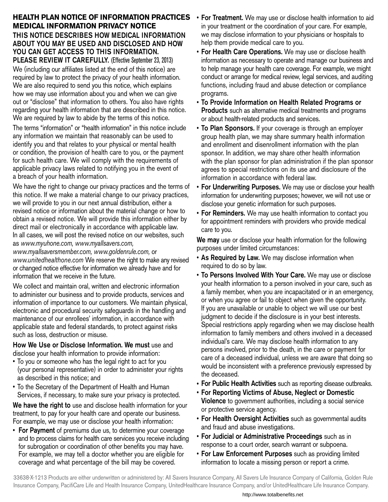#### **HEALTH PLAN NOTICE OF INFORMATION PRACTICES MEDICAL INFORMATION PRIVACY NOTICE** THIS NOTICE DESCRIBES HOW MEDICAL INFORMATION ABOUT YOU MAY BE USED AND DISCLOSED AND HOW YOU CAN GET ACCESS TO THIS INFORMATION. PLEASE REVIEW IT CAREFULLY. (Effective September 23, 2013)

We (including our affiliates listed at the end of this notice) are required by law to protect the privacy of your health information. We are also required to send you this notice, which explains how we may use information about you and when we can give out or "disclose" that information to others. You also have rights regarding your health information that are described in this notice. We are required by law to abide by the terms of this notice.

The terms "information" or "health information" in this notice include any information we maintain that reasonably can be used to identify you and that relates to your physical or mental health or condition, the provision of health care to you, or the payment for such health care. We will comply with the requirements of applicable privacy laws related to notifying you in the event of a breach of your health information.

We have the right to change our privacy practices and the terms of this notice. If we make a material change to our privacy practices, we will provide to you in our next annual distribution, either a revised notice or information about the material change or how to obtain a revised notice. We will provide this information either by direct mail or electronically in accordance with applicable law. In all cases, we will post the revised notice on our websites, such as *www.myuhone.com, www.myallsavers.com,* 

*www.myallsaversmember.com, www.goldenrule.com,* or *www.unitedhealthone.com* We reserve the right to make any revised or changed notice effective for information we already have and for information that we receive in the future.

We collect and maintain oral, written and electronic information to administer our business and to provide products, services and information of importance to our customers. We maintain physical, electronic and procedural security safeguards in the handling and maintenance of our enrollees' information, in accordance with applicable state and federal standards, to protect against risks such as loss, destruction or misuse.

How We Use or Disclose Information. We must use and disclose your health information to provide information:

- To you or someone who has the legal right to act for you (your personal representative) in order to administer your rights as described in this notice; and
- To the Secretary of the Department of Health and Human Services, if necessary, to make sure your privacy is protected.

We have the right to use and disclose health information for your treatment, to pay for your health care and operate our business. For example, we may use or disclose your health information:

• For Payment of premiums due us, to determine your coverage and to process claims for health care services you receive including for subrogation or coordination of other benefits you may have. For example, we may tell a doctor whether you are eligible for coverage and what percentage of the bill may be covered.

- For Treatment. We may use or disclose health information to aid in your treatment or the coordination of your care. For example, we may disclose information to your physicians or hospitals to help them provide medical care to you.
- For Health Care Operations. We may use or disclose health information as necessary to operate and manage our business and to help manage your health care coverage. For example, we might conduct or arrange for medical review, legal services, and auditing functions, including fraud and abuse detection or compliance programs.
- To Provide Information on Health Related Programs or Products such as alternative medical treatments and programs or about health-related products and services.
- To Plan Sponsors. If your coverage is through an employer group health plan, we may share summary health information and enrollment and disenrollment information with the plan sponsor. In addition, we may share other health information with the plan sponsor for plan administration if the plan sponsor agrees to special restrictions on its use and disclosure of the information in accordance with federal law.
- For Underwriting Purposes. We may use or disclose your health information for underwriting purposes; however, we will not use or disclose your genetic information for such purposes.
- For Reminders. We may use health information to contact you for appointment reminders with providers who provide medical care to you.

We may use or disclose your health information for the following purposes under limited circumstances:

- As Required by Law. We may disclose information when required to do so by law.
- To Persons Involved With Your Care. We may use or disclose your health information to a person involved in your care, such as a family member, when you are incapacitated or in an emergency, or when you agree or fail to object when given the opportunity. If you are unavailable or unable to object we will use our best judgment to decide if the disclosure is in your best interests. Special restrictions apply regarding when we may disclose health information to family members and others involved in a deceased individual's care. We may disclose health information to any persons involved, prior to the death, in the care or payment for care of a deceased individual, unless we are aware that doing so would be inconsistent with a preference previously expressed by the deceased.
- For Public Health Activities such as reporting disease outbreaks.
- • For Reporting Victims of Abuse, Neglect or Domestic Violence to government authorities, including a social service or protective service agency.
- For Health Oversight Activities such as governmental audits and fraud and abuse investigations.
- For Judicial or Administrative Proceedings such as in response to a court order, search warrant or subpoena.
- For Law Enforcement Purposes such as providing limited information to locate a missing person or report a crime.

33638-X-1213 Products are either underwritten or administered by: All Savers Insurance Company, All Savers Life Insurance Company of California, Golden Rule Insurance Company, PacifiCare Life and Health Insurance Company, UnitedHealthcare Insurance Company, and/or UnitedHealthcare Life Insurance Company.

#### http://www.totalbenefits.net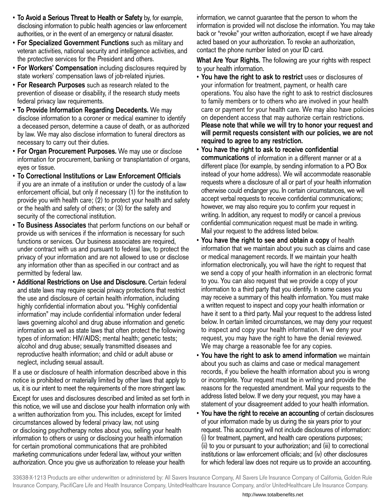- To Avoid a Serious Threat to Health or Safety by, for example, disclosing information to public health agencies or law enforcement authorities, or in the event of an emergency or natural disaster.
- For Specialized Government Functions such as military and veteran activities, national security and intelligence activities, and the protective services for the President and others.
- For Workers' Compensation including disclosures required by state workers' compensation laws of job-related injuries.
- For Research Purposes such as research related to the prevention of disease or disability, if the research study meets federal privacy law requirements.
- To Provide Information Regarding Decedents. We may disclose information to a coroner or medical examiner to identify a deceased person, determine a cause of death, or as authorized by law. We may also disclose information to funeral directors as necessary to carry out their duties.
- For Organ Procurement Purposes. We may use or disclose information for procurement, banking or transplantation of organs, eyes or tissue.
- To Correctional Institutions or Law Enforcement Officials if you are an inmate of a institution or under the custody of a law enforcement official, but only if necessary (1) for the institution to provide you with health care; (2) to protect your health and safety or the health and safety of others; or (3) for the safety and security of the correctional institution.
- To Business Associates that perform functions on our behalf or provide us with services if the information is necessary for such functions or services. Our business associates are required, under contract with us and pursuant to federal law, to protect the privacy of your information and are not allowed to use or disclose any information other than as specified in our contract and as permitted by federal law.
- Additional Restrictions on Use and Disclosure. Certain federal and state laws may require special privacy protections that restrict the use and disclosure of certain health information, including highly confidential information about you. "Highly confidential information" may include confidential information under federal laws governing alcohol and drug abuse information and genetic information as well as state laws that often protect the following types of information: HIV/AIDS; mental health; genetic tests; alcohol and drug abuse; sexually transmitted diseases and reproductive health information; and child or adult abuse or neglect, including sexual assault.

If a use or disclosure of health information described above in this notice is prohibited or materially limited by other laws that apply to us, it is our intent to meet the requirements of the more stringent law.

Except for uses and disclosures described and limited as set forth in this notice, we will use and disclose your health information only with a written authorization from you. This includes, except for limited circumstances allowed by federal privacy law, not using or disclosing psychotherapy notes about you, selling your health information to others or using or disclosing your health information for certain promotional communications that are prohibited marketing communications under federal law, without your written authorization. Once you give us authorization to release your health

information, we cannot guarantee that the person to whom the information is provided will not disclose the information. You may take back or "revoke" your written authorization, except if we have already acted based on your authorization. To revoke an authorization, contact the phone number listed on your ID card.

What Are Your Rights. The following are your rights with respect to your health information.

- You have the right to ask to restrict uses or disclosures of your information for treatment, payment, or health care operations. You also have the right to ask to restrict disclosures to family members or to others who are involved in your health care or payment for your health care. We may also have policies on dependent access that may authorize certain restrictions. Please note that while we will try to honor your request and will permit requests consistent with our policies, we are not required to agree to any restriction.
- You have the right to ask to receive confidential communications of information in a different manner or at a different place (for example, by sending information to a PO Box instead of your home address). We will accommodate reasonable requests where a disclosure of all or part of your health information otherwise could endanger you. In certain circumstances, we will accept verbal requests to receive confidential communications; however, we may also require you to confirm your request in writing. In addition, any request to modify or cancel a previous confidential communication request must be made in writing. Mail your request to the address listed below.
- You have the right to see and obtain a copy of health information that we maintain about you such as claims and case or medical management records. If we maintain your health information electronically, you will have the right to request that we send a copy of your health information in an electronic format to you. You can also request that we provide a copy of your information to a third party that you identify. In some cases you may receive a summary of this health information. You must make a written request to inspect and copy your health information or have it sent to a third party. Mail your request to the address listed below. In certain limited circumstances, we may deny your request to inspect and copy your health information. If we deny your request, you may have the right to have the denial reviewed. We may charge a reasonable fee for any copies.
- You have the right to ask to amend information we maintain about you such as claims and case or medical management records, if you believe the health information about you is wrong or incomplete. Your request must be in writing and provide the reasons for the requested amendment. Mail your requests to the address listed below. If we deny your request, you may have a statement of your disagreement added to your health information.
- You have the right to receive an accounting of certain disclosures of your information made by us during the six years prior to your request. This accounting will not include disclosures of information: (i) for treatment, payment, and health care operations purposes; (ii) to you or pursuant to your authorization; and (iii) to correctional institutions or law enforcement officials; and (iv) other disclosures for which federal law does not require us to provide an accounting.

33638-X-1213 Products are either underwritten or administered by: All Savers Insurance Company, All Savers Life Insurance Company of California, Golden Rule Insurance Company, PacifiCare Life and Health Insurance Company, UnitedHealthcare Insurance Company, and/or UnitedHealthcare Life Insurance Company.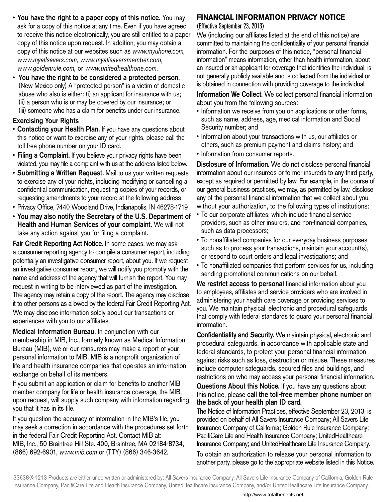- You have the right to a paper copy of this notice. You may ask for a copy of this notice at any time. Even if you have agreed to receive this notice electronically, you are still entitled to a paper copy of this notice upon request. In addition, you may obtain a copy of this notice at our websites such as *www.myuhone.com, www.myallsavers.com, www.myallsaversmember.com, www.goldenrule.com,* or *www.unitedhealthone.com.*
- You have the right to be considered a protected person. (New Mexico only) A "protected person" is a victim of domestic abuse who also is either: (i) an applicant for insurance with us; (ii) a person who is or may be covered by our insurance; or (iii) someone who has a claim for benefits under our insurance.

### Exercising Your Rights

- Contacting your Health Plan. If you have any questions about this notice or want to exercise any of your rights, please call the toll free phone number on your ID card.
- Filing a Complaint. If you believe your privacy rights have been violated, you may file a complaint with us at the address listed below.
- Submitting a Written Request. Mail to us your written requests to exercise any of your rights, including modifying or cancelling a confidential communication, requesting copies of your records, or requesting amendments to your record at the following address:
- Privacy Office, 7440 Woodland Drive, Indianapolis, IN 46278-1719
- You may also notify the Secretary of the U.S. Department of Health and Human Services of your complaint. We will not take any action against you for filing a complaint.

Fair Credit Reporting Act Notice. In some cases, we may ask a consumer-reporting agency to compile a consumer report, including potentially an investigative consumer report, about you. If we request an investigative consumer report, we will notify you promptly with the name and address of the agency that will furnish the report. You may request in writing to be interviewed as part of the investigation. The agency may retain a copy of the report. The agency may disclose it to other persons as allowed by the federal Fair Credit Reporting Act. We may disclose information solely about our transactions or experiences with you to our affiliates.

Medical Information Bureau. In conjunction with our membership in MIB, Inc., formerly known as Medical Information Bureau (MIB), we or our reinsurers may make a report of your personal information to MIB. MIB is a nonprofit organization of life and health insurance companies that operates an information exchange on behalf of its members.

If you submit an application or claim for benefits to another MIB member company for life or health insurance coverage, the MIB, upon request, will supply such company with information regarding you that it has in its file.

If you question the accuracy of information in the MIB's file, you may seek a correction in accordance with the procedures set forth in the federal Fair Credit Reporting Act. Contact MIB at: MIB, Inc., 50 Braintree Hill Ste. 400, Braintree, MA 02184-8734, (866) 692-6901, *www.mib.com* or (TTY) (866) 346-3642.

### **FINANCIAL INFORMATION PRIVACY NOTICE**

#### (Effective September 23, 2013)

We (including our affiliates listed at the end of this notice) are committed to maintaining the confidentiality of your personal financial information. For the purposes of this notice, "personal financial information" means information, other than health information, about an insured or an applicant for coverage that identifies the individual, is not generally publicly available and is collected from the individual or is obtained in connection with providing coverage to the individual.

Information We Collect. We collect personal financial information about you from the following sources:

- Information we receive from you on applications or other forms, such as name, address, age, medical information and Social Security number; and
- Information about your transactions with us, our affiliates or others, such as premium payment and claims history; and
- Information from consumer reports.

Disclosure of Information. We do not disclose personal financial information about our insureds or former insureds to any third party, except as required or permitted by law. For example, in the course of our general business practices, we may, as permitted by law, disclose any of the personal financial information that we collect about you, without your authorization, to the following types of institutions:

- To our corporate affiliates, which include financial service providers, such as other insurers, and non-financial companies, such as data processors;
- • To nonaffiliated companies for our everyday business purposes, such as to process your transactions, maintain your account(s), or respond to court orders and legal investigations; and
- To nonaffiliated companies that perform services for us, including sending promotional communications on our behalf.

We restrict access to personal financial information about you to employees, affiliates and service providers who are involved in administering your health care coverage or providing services to you. We maintain physical, electronic and procedural safeguards that comply with federal standards to guard your personal financial information.

Confidentiality and Security. We maintain physical, electronic and procedural safeguards, in accordance with applicable state and federal standards, to protect your personal financial information against risks such as loss, destruction or misuse. These measures include computer safeguards, secured files and buildings, and restrictions on who may access your personal financial information.

#### Questions About this Notice. If you have any questions about this notice, please call the toll-free member phone number on the back of your health plan ID card.

The Notice of Information Practices, effective September 23, 2013, is provided on behalf of All Savers Insurance Company; All Savers Life Insurance Company of California; Golden Rule Insurance Company; PacifiCare Life and Health Insurance Company; UnitedHealthcare Insurance Company; and UnitedHealthcare Life Insurance Company.

To obtain an authorization to release your personal information to another party, please go to the appropriate website listed in this Notice.

33638-X-1213 Products are either underwritten or administered by: All Savers Insurance Company, All Savers Life Insurance Company of California, Golden Rule Insurance Company, PacifiCare Life and Health Insurance Company, UnitedHealthcare Insurance Company, and/or UnitedHealthcare Life Insurance Company.